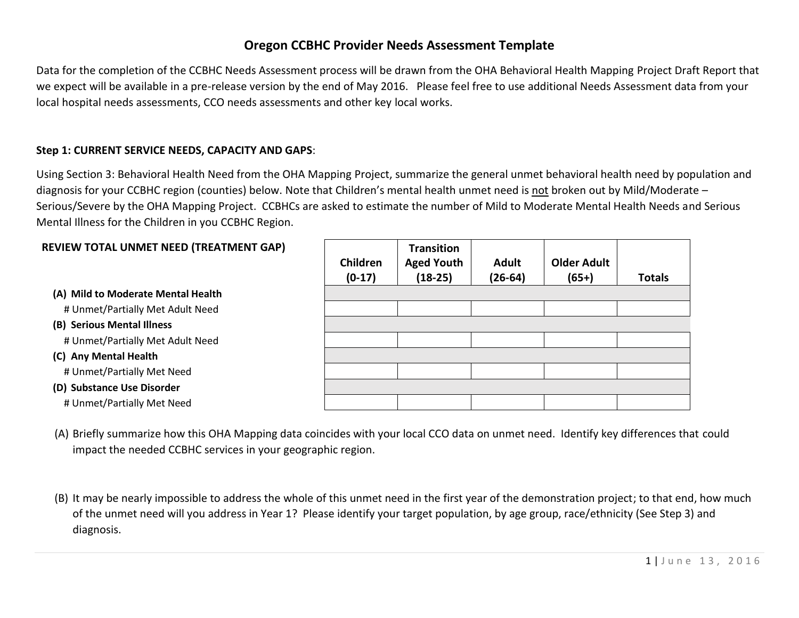# **Oregon CCBHC Provider Needs Assessment Template**

Data for the completion of the CCBHC Needs Assessment process will be drawn from the OHA Behavioral Health Mapping Project Draft Report that we expect will be available in a pre-release version by the end of May 2016. Please feel free to use additional Needs Assessment data from your local hospital needs assessments, CCO needs assessments and other key local works.

### **Step 1: CURRENT SERVICE NEEDS, CAPACITY AND GAPS**:

Using Section 3: Behavioral Health Need from the OHA Mapping Project, summarize the general unmet behavioral health need by population and diagnosis for your CCBHC region (counties) below. Note that Children's mental health unmet need is not broken out by Mild/Moderate -Serious/Severe by the OHA Mapping Project. CCBHCs are asked to estimate the number of Mild to Moderate Mental Health Needs and Serious Mental Illness for the Children in you CCBHC Region.

#### **REVIEW TOTAL UNMET NEED (TREATMENT GAP)**

**(A) Mild to Moderate Mental Health**

# Unmet/Partially Met Adult Need

**(B) Serious Mental Illness**

# Unmet/Partially Met Adult Need

**(C) Any Mental Health**

# Unmet/Partially Met Need

**(D) Substance Use Disorder**

# Unmet/Partially Met Need

| Children<br>$(0-17)$ | <b>Transition</b><br><b>Aged Youth</b><br>$(18-25)$ | <b>Adult</b><br>$(26-64)$ | <b>Older Adult</b><br>$(65+)$ | <b>Totals</b> |
|----------------------|-----------------------------------------------------|---------------------------|-------------------------------|---------------|
|                      |                                                     |                           |                               |               |
|                      |                                                     |                           |                               |               |
|                      |                                                     |                           |                               |               |
|                      |                                                     |                           |                               |               |
|                      |                                                     |                           |                               |               |
|                      |                                                     |                           |                               |               |
|                      |                                                     |                           |                               |               |
|                      |                                                     |                           |                               |               |

(A) Briefly summarize how this OHA Mapping data coincides with your local CCO data on unmet need. Identify key differences that could impact the needed CCBHC services in your geographic region.

(B) It may be nearly impossible to address the whole of this unmet need in the first year of the demonstration project; to that end, how much of the unmet need will you address in Year 1? Please identify your target population, by age group, race/ethnicity (See Step 3) and diagnosis.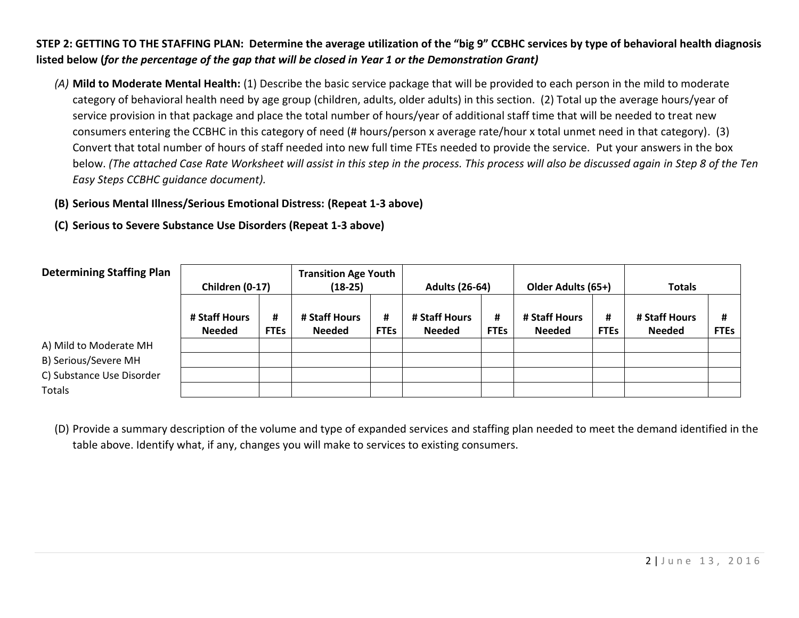## **STEP 2: GETTING TO THE STAFFING PLAN: Determine the average utilization of the "big 9" CCBHC services by type of behavioral health diagnosis listed below (***for the percentage of the gap that will be closed in Year 1 or the Demonstration Grant)*

*(A)* **Mild to Moderate Mental Health:** (1) Describe the basic service package that will be provided to each person in the mild to moderate category of behavioral health need by age group (children, adults, older adults) in this section. (2) Total up the average hours/year of service provision in that package and place the total number of hours/year of additional staff time that will be needed to treat new consumers entering the CCBHC in this category of need (# hours/person x average rate/hour x total unmet need in that category). (3) Convert that total number of hours of staff needed into new full time FTEs needed to provide the service. Put your answers in the box below. *(The attached Case Rate Worksheet will assist in this step in the process. This process will also be discussed again in Step 8 of the Ten Easy Steps CCBHC guidance document).* 

## **(B) Serious Mental Illness/Serious Emotional Distress: (Repeat 1-3 above)**

### **(C) Serious to Severe Substance Use Disorders (Repeat 1-3 above)**

| <b>Determining Staffing Plan</b> | Children (0-17)                |                  | <b>Transition Age Youth</b><br>$(18-25)$ |                  | <b>Adults (26-64)</b>          |                  | Older Adults (65+)             |                  | <b>Totals</b>                  |                  |
|----------------------------------|--------------------------------|------------------|------------------------------------------|------------------|--------------------------------|------------------|--------------------------------|------------------|--------------------------------|------------------|
|                                  | # Staff Hours<br><b>Needed</b> | #<br><b>FTEs</b> | # Staff Hours<br><b>Needed</b>           | #<br><b>FTEs</b> | # Staff Hours<br><b>Needed</b> | #<br><b>FTEs</b> | # Staff Hours<br><b>Needed</b> | #<br><b>FTEs</b> | # Staff Hours<br><b>Needed</b> | #<br><b>FTEs</b> |
| A) Mild to Moderate MH           |                                |                  |                                          |                  |                                |                  |                                |                  |                                |                  |
| B) Serious/Severe MH             |                                |                  |                                          |                  |                                |                  |                                |                  |                                |                  |
| C) Substance Use Disorder        |                                |                  |                                          |                  |                                |                  |                                |                  |                                |                  |
| Totals                           |                                |                  |                                          |                  |                                |                  |                                |                  |                                |                  |

(D) Provide a summary description of the volume and type of expanded services and staffing plan needed to meet the demand identified in the table above. Identify what, if any, changes you will make to services to existing consumers.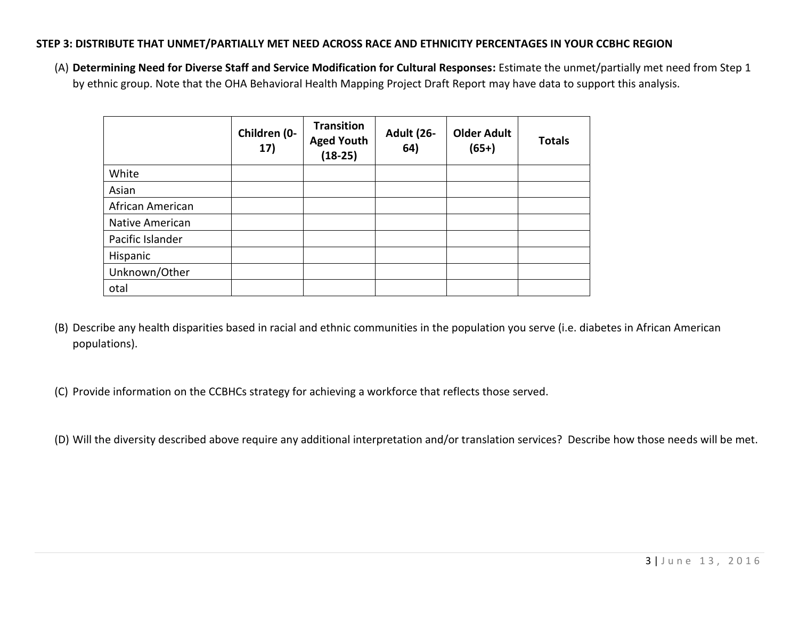#### **STEP 3: DISTRIBUTE THAT UNMET/PARTIALLY MET NEED ACROSS RACE AND ETHNICITY PERCENTAGES IN YOUR CCBHC REGION**

(A) **Determining Need for Diverse Staff and Service Modification for Cultural Responses:** Estimate the unmet/partially met need from Step 1 by ethnic group. Note that the OHA Behavioral Health Mapping Project Draft Report may have data to support this analysis.

|                  | Children (0-<br>17) | <b>Transition</b><br><b>Aged Youth</b><br>$(18-25)$ | <b>Adult (26-</b><br>64) | <b>Older Adult</b><br>$(65+)$ | <b>Totals</b> |
|------------------|---------------------|-----------------------------------------------------|--------------------------|-------------------------------|---------------|
| White            |                     |                                                     |                          |                               |               |
| Asian            |                     |                                                     |                          |                               |               |
| African American |                     |                                                     |                          |                               |               |
| Native American  |                     |                                                     |                          |                               |               |
| Pacific Islander |                     |                                                     |                          |                               |               |
| Hispanic         |                     |                                                     |                          |                               |               |
| Unknown/Other    |                     |                                                     |                          |                               |               |
| otal             |                     |                                                     |                          |                               |               |

(B) Describe any health disparities based in racial and ethnic communities in the population you serve (i.e. diabetes in African American populations).

(C) Provide information on the CCBHCs strategy for achieving a workforce that reflects those served.

(D) Will the diversity described above require any additional interpretation and/or translation services? Describe how those needs will be met.